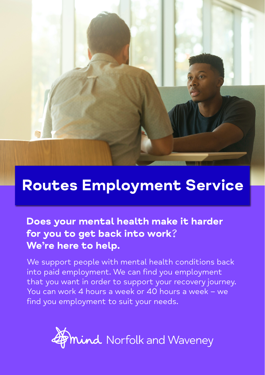

## Routes Employment Service

### Does your mental health make it harder for you to get back into work? We're here to help.

We support people with mental health conditions back into paid employment. We can find you employment that you want in order to support your recovery journey. You can work 4 hours a week or 40 hours a week – we find you employment to suit your needs.